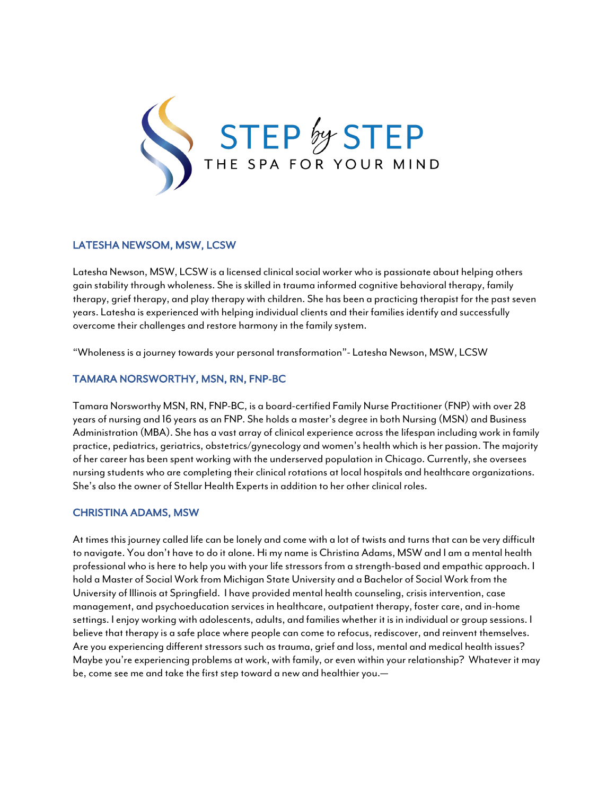

## LATESHA NEWSOM, MSW, LCSW

Latesha Newson, MSW, LCSW is a licensed clinical social worker who is passionate about helping others gain stability through wholeness. She is skilled in trauma informed cognitive behavioral therapy, family therapy, grief therapy, and play therapy with children. She has been a practicing therapist for the past seven years. Latesha is experienced with helping individual clients and their families identify and successfully overcome their challenges and restore harmony in the family system.

"Wholeness is a journey towards your personal transformation"- Latesha Newson, MSW, LCSW

### TAMARA NORSWORTHY, MSN, RN, FNP-BC

Tamara Norsworthy MSN, RN, FNP-BC, is a board-certified Family Nurse Practitioner (FNP) with over 28 years of nursing and 16 years as an FNP. She holds a master's degree in both Nursing (MSN) and Business Administration (MBA). She has a vast array of clinical experience across the lifespan including work in family practice, pediatrics, geriatrics, obstetrics/gynecology and women's health which is her passion. The majority of her career has been spent working with the underserved population in Chicago. Currently, she oversees nursing students who are completing their clinical rotations at local hospitals and healthcare organizations. She's also the owner of Stellar Health Experts in addition to her other clinical roles.

### CHRISTINA ADAMS, MSW

At times this journey called life can be lonely and come with a lot of twists and turns that can be very difficult to navigate. You don't have to do it alone. Hi my name is Christina Adams, MSW and I am a mental health professional who is here to help you with your life stressors from a strength-based and empathic approach. I hold a Master of Social Work from Michigan State University and a Bachelor of Social Work from the University of Illinois at Springfield. I have provided mental health counseling, crisis intervention, case management, and psychoeducation services in healthcare, outpatient therapy, foster care, and in-home settings. I enjoy working with adolescents, adults, and families whether it is in individual or group sessions. I believe that therapy is a safe place where people can come to refocus, rediscover, and reinvent themselves. Are you experiencing different stressors such as trauma, grief and loss, mental and medical health issues? Maybe you're experiencing problems at work, with family, or even within your relationship? Whatever it may be, come see me and take the first step toward a new and healthier you.—